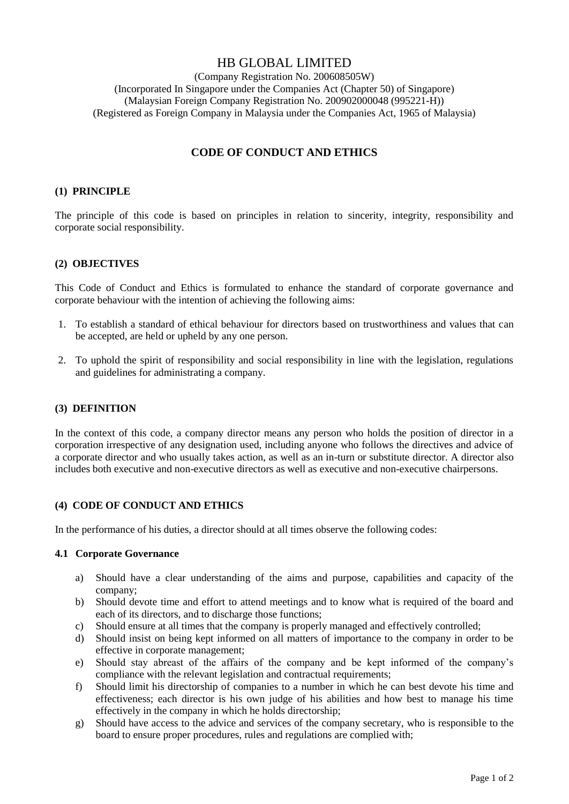# HB GLOBAL LIMITED

(Company Registration No. 200608505W) (Incorporated In Singapore under the Companies Act (Chapter 50) of Singapore) (Malaysian Foreign Company Registration No. 200902000048 (995221-H)) (Registered as Foreign Company in Malaysia under the Companies Act, 1965 of Malaysia)

## **CODE OF CONDUCT AND ETHICS**

#### **(1) PRINCIPLE**

The principle of this code is based on principles in relation to sincerity, integrity, responsibility and corporate social responsibility.

### **(2) OBJECTIVES**

This Code of Conduct and Ethics is formulated to enhance the standard of corporate governance and corporate behaviour with the intention of achieving the following aims:

- 1. To establish a standard of ethical behaviour for directors based on trustworthiness and values that can be accepted, are held or upheld by any one person.
- 2. To uphold the spirit of responsibility and social responsibility in line with the legislation, regulations and guidelines for administrating a company.

#### **(3) DEFINITION**

In the context of this code, a company director means any person who holds the position of director in a corporation irrespective of any designation used, including anyone who follows the directives and advice of a corporate director and who usually takes action, as well as an in-turn or substitute director. A director also includes both executive and non-executive directors as well as executive and non-executive chairpersons.

#### **(4) CODE OF CONDUCT AND ETHICS**

In the performance of his duties, a director should at all times observe the following codes:

#### **4.1 Corporate Governance**

- a) Should have a clear understanding of the aims and purpose, capabilities and capacity of the company;
- b) Should devote time and effort to attend meetings and to know what is required of the board and each of its directors, and to discharge those functions;
- c) Should ensure at all times that the company is properly managed and effectively controlled;
- d) Should insist on being kept informed on all matters of importance to the company in order to be effective in corporate management;
- e) Should stay abreast of the affairs of the company and be kept informed of the company's compliance with the relevant legislation and contractual requirements;
- f) Should limit his directorship of companies to a number in which he can best devote his time and effectiveness; each director is his own judge of his abilities and how best to manage his time effectively in the company in which he holds directorship;
- g) Should have access to the advice and services of the company secretary, who is responsible to the board to ensure proper procedures, rules and regulations are complied with;